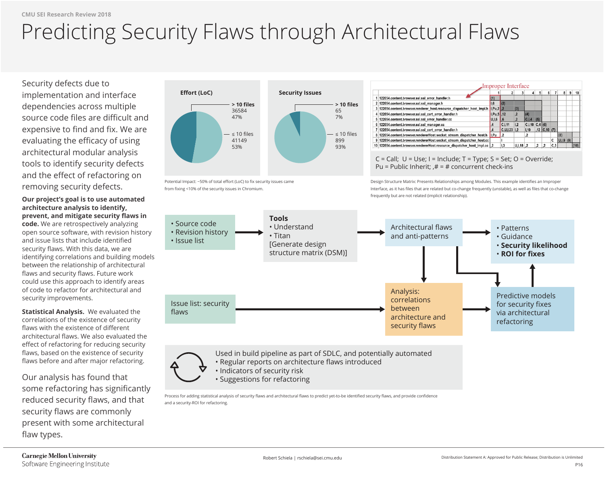Security defects due to implementation and interface dependencies across multiple source code files are difficult and expensive to find and fix. We are evaluating the efficacy of using architectural modular analysis tools to identify security defects and the effect of refactoring on removing security defects.

**Our project's goal is to use automated architecture analysis to identify, prevent, and mitigate security flaws in code.** We are retrospectively analyzing open source software, with revision history and issue lists that include identified security flaws. With this data, we are identifying correlations and building models between the relationship of architectural flaws and security flaws. Future work could use this approach to identify areas of code to refactor for architectural and security improvements.

**Statistical Analysis.** We evaluated the correlations of the existence of security flaws with the existence of different architectural flaws. We also evaluated the effect of refactoring for reducing security flaws, based on the existence of security flaws before and after major refactoring.

Our analysis has found that some refactoring has significantly reduced security flaws, and that security flaws are commonly present with some architectural flaw types.



Process for adding statistical analysis of security flaws and architectural flaws to predict yet-to-be identified security flaws, and provide confidence and a security-ROI for refactoring.

| 4   | 5          | 6            | 7             | 8             | 9 | 10   |
|-----|------------|--------------|---------------|---------------|---|------|
|     |            |              |               |               |   |      |
|     |            |              |               |               |   |      |
|     |            |              |               |               |   |      |
|     |            |              |               |               |   |      |
| 4   | (5)        |              |               |               |   |      |
| ,10 | C, 4   (6) |              |               |               |   |      |
| J   |            | ,12 C,10 (7) |               |               |   |      |
|     |            |              |               | (8)           |   |      |
|     |            |              |               | $U, I, 9$ (9) |   |      |
|     | 2,         | 2,           | $rac{C}{C,3}$ |               |   | (10) |



## $r \cap$ I al I  $\Gamma$  source control  $\Gamma$ Predicting Security Flaws through Architectural Flaws